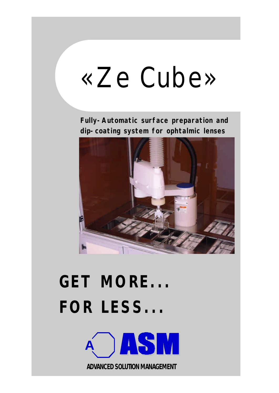# «Ze Cube»

**Fully-Automatic surface preparation and dip-coating system for ophtalmic lenses**



## **GET MORE... FOR LESS...**



*ADVANCED SOLUTION MANAGEMENT*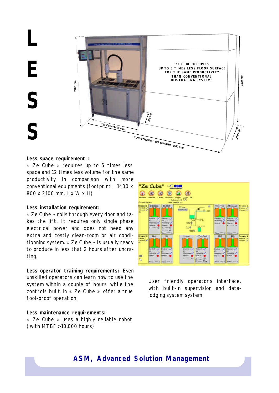**L E S S**



#### **Less space requirement :**

« Ze Cube » requires up to 5 times less space and 12 times less volume for the same productivity in comparison with more conventional equipments (footprint = 1400 x 800 x 2100 mm, L x W x H)

#### **Less installation requirement:**

« Ze Cube » rolls through every door and takes the lift. It requires only single phase electrical power and does not need any extra and costly clean-room or air conditionning system. « Ze Cube » is usually ready to produce in less that 2 hours after uncrating.

**Less operator training requirements:** Even unskilled operators can learn how to use the system within a couple of hours while the controls built in « Ze Cube » offer a true fool-proof operation.

#### **Less maintenance requirements:**

« Ze Cube » uses a highly reliable robot ( with MTBF > 10.000 hours)



User friendly operator's interface, with built-in supervision and datalodging system system

### **ASM, Advanced Solution Management**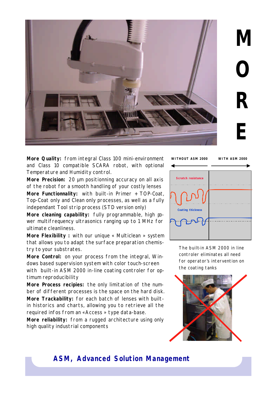

**M O R E**

**More Quality:** from integral Class 100 mini-environment and Class 10 compatible SCARA robot, with optional Temperature and Humidity control.

**More Precision:** 20 µm positionning accuracy on all axis of the robot for a smooth handling of your costly lenses

**More Functionnality:** with built-in Primer + TOP-Coat, Top-Coat only and Clean only processes, as well as a fully independant Tool strip process (STD version only)

More cleaning capability: fully programmable, high power multifrequency ultrasonics ranging up to 1 MHz for ultimate cleanliness.

**More Flexibility :** with our unique « Multiclean » system that allows you to adapt the surface preparation chemistry to your substrates.

**More Control:** on your process from the integral, Windows based supervision system with color touch-screen with built-in ASM 2000 in-line coating controler for optimum reproducibility

**More Process recipies:** the only limitation of the number of different processes is the space on the hard disk.

**More Trackability:** for each batch of lenses with builtin historics and charts, allowing you to retrieve all the required infos from an «Access » type data-base.

**More reliability:** from a rugged architecture using only high quality industrial components



The built-in ASM 2000 in line controler eliminates all need for operator's intervention on the coating tanks



## **ASM, Advanced Solution Management**